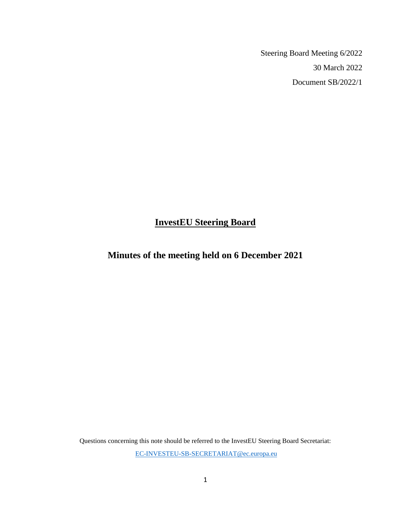Steering Board Meeting 6/2022 30 March 2022 Document SB/2022/1

# **InvestEU Steering Board**

# **Minutes of the meeting held on 6 December 2021**

Questions concerning this note should be referred to the InvestEU Steering Board Secretariat: [EC-INVESTEU-SB-SECRETARIAT@ec.europa.eu](mailto:EC-INVESTEU-SB-SECRETARIAT@ec.europa.eu)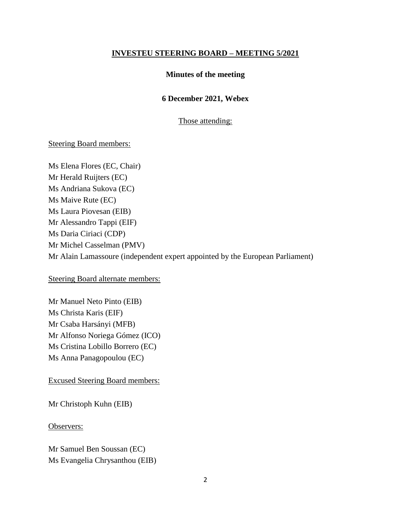### **INVESTEU STEERING BOARD – MEETING 5/2021**

### **Minutes of the meeting**

### **6 December 2021, Webex**

### Those attending:

### Steering Board members:

Ms Elena Flores (EC, Chair) Mr Herald Ruijters (EC) Ms Andriana Sukova (EC) Ms Maive Rute (EC) Ms Laura Piovesan (EIB) Mr Alessandro Tappi (EIF) Ms Daria Ciriaci (CDP) Mr Michel Casselman (PMV) Mr Alain Lamassoure (independent expert appointed by the European Parliament)

Steering Board alternate members:

Mr Manuel Neto Pinto (EIB) Ms Christa Karis (EIF) Mr Csaba Harsányi (MFB) Mr Alfonso Noriega Gómez (ICO) Ms Cristina Lobillo Borrero (EC) Ms Anna Panagopoulou (EC)

Excused Steering Board members:

Mr Christoph Kuhn (EIB)

Observers:

Mr Samuel Ben Soussan (EC) Ms Evangelia Chrysanthou (EIB)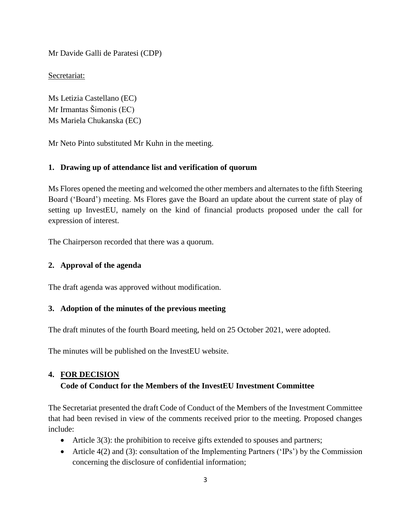Mr Davide Galli de Paratesi (CDP)

Secretariat:

Ms Letizia Castellano (EC) Mr Irmantas Šimonis (EC) Ms Mariela Chukanska (EC)

Mr Neto Pinto substituted Mr Kuhn in the meeting.

# **1. Drawing up of attendance list and verification of quorum**

Ms Flores opened the meeting and welcomed the other members and alternates to the fifth Steering Board ('Board') meeting. Ms Flores gave the Board an update about the current state of play of setting up InvestEU, namely on the kind of financial products proposed under the call for expression of interest.

The Chairperson recorded that there was a quorum.

# **2. Approval of the agenda**

The draft agenda was approved without modification.

# **3. Adoption of the minutes of the previous meeting**

The draft minutes of the fourth Board meeting, held on 25 October 2021, were adopted.

The minutes will be published on the InvestEU website.

### **4. FOR DECISION**

# **Code of Conduct for the Members of the InvestEU Investment Committee**

The Secretariat presented the draft Code of Conduct of the Members of the Investment Committee that had been revised in view of the comments received prior to the meeting. Proposed changes include:

- Article  $3(3)$ : the prohibition to receive gifts extended to spouses and partners;
- Article  $4(2)$  and  $(3)$ : consultation of the Implementing Partners ('IPs') by the Commission concerning the disclosure of confidential information;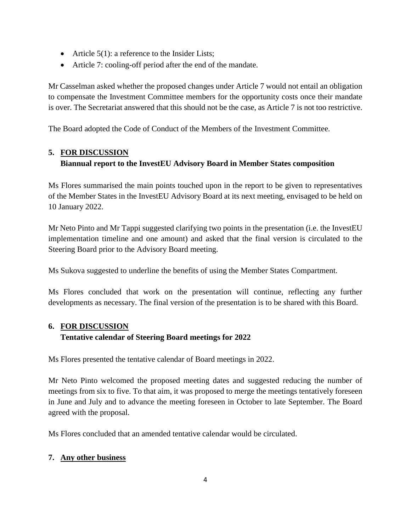- Article  $5(1)$ : a reference to the Insider Lists;
- Article 7: cooling-off period after the end of the mandate.

Mr Casselman asked whether the proposed changes under Article 7 would not entail an obligation to compensate the Investment Committee members for the opportunity costs once their mandate is over. The Secretariat answered that this should not be the case, as Article 7 is not too restrictive.

The Board adopted the Code of Conduct of the Members of the Investment Committee.

# **5. FOR DISCUSSION**

# **Biannual report to the InvestEU Advisory Board in Member States composition**

Ms Flores summarised the main points touched upon in the report to be given to representatives of the Member States in the InvestEU Advisory Board at its next meeting, envisaged to be held on 10 January 2022.

Mr Neto Pinto and Mr Tappi suggested clarifying two points in the presentation (i.e. the InvestEU implementation timeline and one amount) and asked that the final version is circulated to the Steering Board prior to the Advisory Board meeting.

Ms Sukova suggested to underline the benefits of using the Member States Compartment.

Ms Flores concluded that work on the presentation will continue, reflecting any further developments as necessary. The final version of the presentation is to be shared with this Board.

# **6. FOR DISCUSSION**

# **Tentative calendar of Steering Board meetings for 2022**

Ms Flores presented the tentative calendar of Board meetings in 2022.

Mr Neto Pinto welcomed the proposed meeting dates and suggested reducing the number of meetings from six to five. To that aim, it was proposed to merge the meetings tentatively foreseen in June and July and to advance the meeting foreseen in October to late September. The Board agreed with the proposal.

Ms Flores concluded that an amended tentative calendar would be circulated.

# **7. Any other business**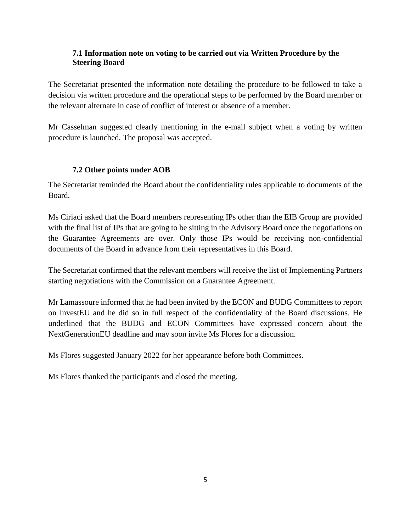# **7.1 Information note on voting to be carried out via Written Procedure by the Steering Board**

The Secretariat presented the information note detailing the procedure to be followed to take a decision via written procedure and the operational steps to be performed by the Board member or the relevant alternate in case of conflict of interest or absence of a member.

Mr Casselman suggested clearly mentioning in the e-mail subject when a voting by written procedure is launched. The proposal was accepted.

# **7.2 Other points under AOB**

The Secretariat reminded the Board about the confidentiality rules applicable to documents of the Board.

Ms Ciriaci asked that the Board members representing IPs other than the EIB Group are provided with the final list of IPs that are going to be sitting in the Advisory Board once the negotiations on the Guarantee Agreements are over. Only those IPs would be receiving non-confidential documents of the Board in advance from their representatives in this Board.

The Secretariat confirmed that the relevant members will receive the list of Implementing Partners starting negotiations with the Commission on a Guarantee Agreement.

Mr Lamassoure informed that he had been invited by the ECON and BUDG Committees to report on InvestEU and he did so in full respect of the confidentiality of the Board discussions. He underlined that the BUDG and ECON Committees have expressed concern about the NextGenerationEU deadline and may soon invite Ms Flores for a discussion.

Ms Flores suggested January 2022 for her appearance before both Committees.

Ms Flores thanked the participants and closed the meeting.